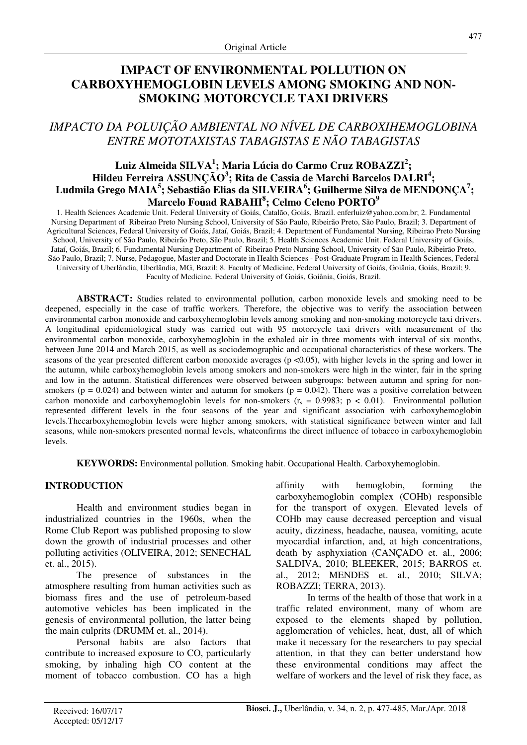# **IMPACT OF ENVIRONMENTAL POLLUTION ON CARBOXYHEMOGLOBIN LEVELS AMONG SMOKING AND NON-SMOKING MOTORCYCLE TAXI DRIVERS**

# *IMPACTO DA POLUIÇÃO AMBIENTAL NO NÍVEL DE CARBOXIHEMOGLOBINA ENTRE MOTOTAXISTAS TABAGISTAS E NÃO TABAGISTAS*

# **Luiz Almeida SILVA<sup>1</sup> ; Maria Lúcia do Carmo Cruz ROBAZZI<sup>2</sup> ; Hildeu Ferreira ASSUNÇÃO<sup>3</sup> ; Rita de Cassia de Marchi Barcelos DALRI<sup>4</sup> ; Ludmila Grego MAIA<sup>5</sup> ; Sebastião Elias da SILVEIRA<sup>6</sup> ; Guilherme Silva de MENDONÇA<sup>7</sup> ; Marcelo Fouad RABAHI<sup>8</sup> ; Celmo Celeno PORTO<sup>9</sup>**

1. Health Sciences Academic Unit. Federal University of Goiás, Catalão, Goiás, Brazil. enferluiz@yahoo.com.br; 2. Fundamental Nursing Department of Ribeirao Preto Nursing School, University of São Paulo, Ribeirão Preto, São Paulo, Brazil; 3. Department of Agricultural Sciences, Federal University of Goiás, Jataí, Goiás, Brazil; 4. Department of Fundamental Nursing, Ribeirao Preto Nursing School, University of São Paulo, Ribeirão Preto, São Paulo, Brazil; 5. Health Sciences Academic Unit. Federal University of Goiás, Jataí, Goiás, Brazil; 6. Fundamental Nursing Department of Ribeirao Preto Nursing School, University of São Paulo, Ribeirão Preto, São Paulo, Brazil; 7. Nurse, Pedagogue, Master and Doctorate in Health Sciences - Post-Graduate Program in Health Sciences, Federal University of Uberlândia, Uberlândia, MG, Brazil; 8. Faculty of Medicine, Federal University of Goiás, Goiânia, Goiás, Brazil; 9. Faculty of Medicine. Federal University of Goiás, Goiânia, Goiás, Brazil.

**ABSTRACT:** Studies related to environmental pollution, carbon monoxide levels and smoking need to be deepened, especially in the case of traffic workers. Therefore, the objective was to verify the association between environmental carbon monoxide and carboxyhemoglobin levels among smoking and non-smoking motorcycle taxi drivers. A longitudinal epidemiological study was carried out with 95 motorcycle taxi drivers with measurement of the environmental carbon monoxide, carboxyhemoglobin in the exhaled air in three moments with interval of six months, between June 2014 and March 2015, as well as sociodemographic and occupational characteristics of these workers. The seasons of the year presented different carbon monoxide averages ( $p \lt 0.05$ ), with higher levels in the spring and lower in the autumn, while carboxyhemoglobin levels among smokers and non-smokers were high in the winter, fair in the spring and low in the autumn. Statistical differences were observed between subgroups: between autumn and spring for nonsmokers ( $p = 0.024$ ) and between winter and autumn for smokers ( $p = 0.042$ ). There was a positive correlation between carbon monoxide and carboxyhemoglobin levels for non-smokers  $(r_s = 0.9983; p < 0.01)$ . Environmental pollution represented different levels in the four seasons of the year and significant association with carboxyhemoglobin levels.Thecarboxyhemoglobin levels were higher among smokers, with statistical significance between winter and fall seasons, while non-smokers presented normal levels, whatconfirms the direct influence of tobacco in carboxyhemoglobin levels.

**KEYWORDS:** Environmental pollution. Smoking habit. Occupational Health. Carboxyhemoglobin.

## **INTRODUCTION**

Health and environment studies began in industrialized countries in the 1960s, when the Rome Club Report was published proposing to slow down the growth of industrial processes and other polluting activities (OLIVEIRA, 2012; SENECHAL et. al., 2015).

The presence of substances in the atmosphere resulting from human activities such as biomass fires and the use of petroleum-based automotive vehicles has been implicated in the genesis of environmental pollution, the latter being the main culprits (DRUMM et. al., 2014).

Personal habits are also factors that contribute to increased exposure to CO, particularly smoking, by inhaling high CO content at the moment of tobacco combustion. CO has a high affinity with hemoglobin, forming the carboxyhemoglobin complex (COHb) responsible for the transport of oxygen. Elevated levels of COHb may cause decreased perception and visual acuity, dizziness, headache, nausea, vomiting, acute myocardial infarction, and, at high concentrations, death by asphyxiation (CANÇADO et. al., 2006; SALDIVA, 2010; BLEEKER, 2015; BARROS et. al., 2012; MENDES et. al., 2010; SILVA; ROBAZZI; TERRA, 2013).

In terms of the health of those that work in a traffic related environment, many of whom are exposed to the elements shaped by pollution, agglomeration of vehicles, heat, dust, all of which make it necessary for the researchers to pay special attention, in that they can better understand how these environmental conditions may affect the welfare of workers and the level of risk they face, as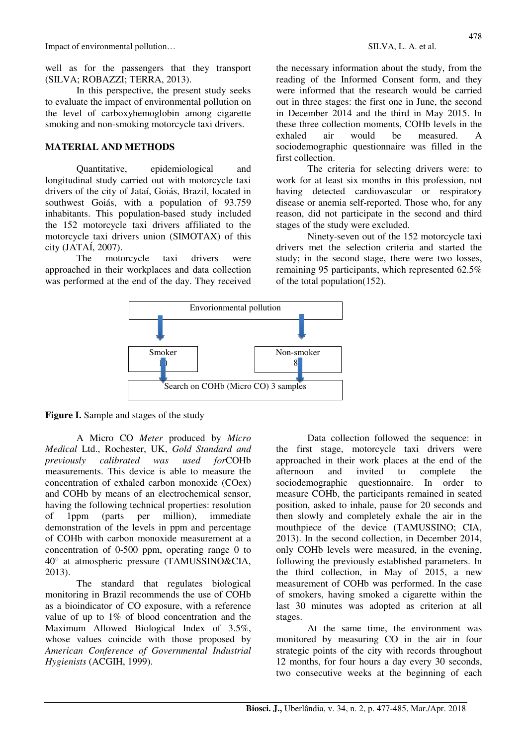well as for the passengers that they transport (SILVA; ROBAZZI; TERRA, 2013).

In this perspective, the present study seeks to evaluate the impact of environmental pollution on the level of carboxyhemoglobin among cigarette smoking and non-smoking motorcycle taxi drivers.

#### **MATERIAL AND METHODS**

Quantitative, epidemiological and longitudinal study carried out with motorcycle taxi drivers of the city of Jataí, Goiás, Brazil, located in southwest Goiás, with a population of 93.759 inhabitants. This population-based study included the 152 motorcycle taxi drivers affiliated to the motorcycle taxi drivers union (SIMOTAX) of this city (JATAÍ, 2007).

The motorcycle taxi drivers were approached in their workplaces and data collection was performed at the end of the day. They received the necessary information about the study, from the reading of the Informed Consent form, and they were informed that the research would be carried out in three stages: the first one in June, the second in December 2014 and the third in May 2015. In these three collection moments, COHb levels in the exhaled air would be measured. A sociodemographic questionnaire was filled in the first collection.

 The criteria for selecting drivers were: to work for at least six months in this profession, not having detected cardiovascular or respiratory disease or anemia self-reported. Those who, for any reason, did not participate in the second and third stages of the study were excluded.

Ninety-seven out of the 152 motorcycle taxi drivers met the selection criteria and started the study; in the second stage, there were two losses, remaining 95 participants, which represented 62.5% of the total population(152).



**Figure I.** Sample and stages of the study

A Micro CO *Meter* produced by *Micro Medical* Ltd., Rochester, UK, *Gold Standard and previously calibrated was used for*COHb measurements. This device is able to measure the concentration of exhaled carbon monoxide (COex) and COHb by means of an electrochemical sensor, having the following technical properties: resolution of 1ppm (parts per million), immediate demonstration of the levels in ppm and percentage of COHb with carbon monoxide measurement at a concentration of 0-500 ppm, operating range 0 to 40° at atmospheric pressure (TAMUSSINO&CIA, 2013).

The standard that regulates biological monitoring in Brazil recommends the use of COHb as a bioindicator of CO exposure, with a reference value of up to 1% of blood concentration and the Maximum Allowed Biological Index of 3.5%, whose values coincide with those proposed by *American Conference of Governmental Industrial Hygienists* (ACGIH, 1999).

Data collection followed the sequence: in the first stage, motorcycle taxi drivers were approached in their work places at the end of the afternoon and invited to complete the sociodemographic questionnaire. In order to measure COHb, the participants remained in seated position, asked to inhale, pause for 20 seconds and then slowly and completely exhale the air in the mouthpiece of the device (TAMUSSINO; CIA, 2013). In the second collection, in December 2014, only COHb levels were measured, in the evening, following the previously established parameters. In the third collection, in May of 2015, a new measurement of COHb was performed. In the case of smokers, having smoked a cigarette within the last 30 minutes was adopted as criterion at all stages.

At the same time, the environment was monitored by measuring CO in the air in four strategic points of the city with records throughout 12 months, for four hours a day every 30 seconds, two consecutive weeks at the beginning of each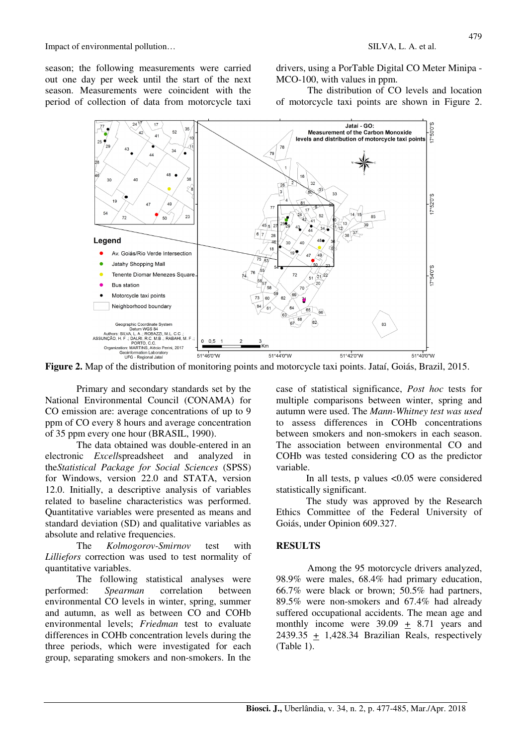season; the following measurements were carried out one day per week until the start of the next season. Measurements were coincident with the period of collection of data from motorcycle taxi

drivers, using a PorTable Digital CO Meter Minipa - MCO-100, with values in ppm.

The distribution of CO levels and location of motorcycle taxi points are shown in Figure 2.



Primary and secondary standards set by the National Environmental Council (CONAMA) for CO emission are: average concentrations of up to 9 ppm of CO every 8 hours and average concentration of 35 ppm every one hour (BRASIL, 1990).

 The data obtained was double-entered in an electronic *Excell*spreadsheet and analyzed in the*Statistical Package for Social Sciences* (SPSS) for Windows, version 22.0 and STATA, version 12.0. Initially, a descriptive analysis of variables related to baseline characteristics was performed. Quantitative variables were presented as means and standard deviation (SD) and qualitative variables as absolute and relative frequencies.

 The *Kolmogorov-Smirnov* test with *Lilliefors* correction was used to test normality of quantitative variables.

The following statistical analyses were performed: *Spearman* correlation between environmental CO levels in winter, spring, summer and autumn, as well as between CO and COHb environmental levels; *Friedman* test to evaluate differences in COHb concentration levels during the three periods, which were investigated for each group, separating smokers and non-smokers. In the

case of statistical significance, *Post hoc* tests for multiple comparisons between winter, spring and autumn were used. The *Mann-Whitney test was used* to assess differences in COHb concentrations between smokers and non-smokers in each season. The association between environmental CO and COHb was tested considering CO as the predictor variable.

In all tests, p values <0.05 were considered statistically significant.

The study was approved by the Research Ethics Committee of the Federal University of Goiás, under Opinion 609.327.

### **RESULTS**

Among the 95 motorcycle drivers analyzed, 98.9% were males, 68.4% had primary education, 66.7% were black or brown; 50.5% had partners, 89.5% were non-smokers and 67.4% had already suffered occupational accidents. The mean age and monthly income were 39.09 + 8.71 years and 2439.35  $\pm$  1,428.34 Brazilian Reals, respectively (Table 1).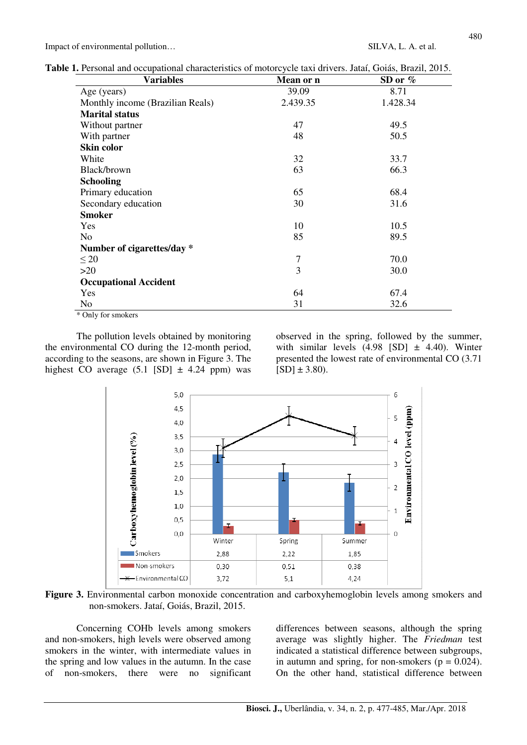|  |  |  |  |  |  | <b>Table 1.</b> Personal and occupational characteristics of motorcycle taxi drivers. Jataí, Goiás, Brazil, 2015. |
|--|--|--|--|--|--|-------------------------------------------------------------------------------------------------------------------|
|--|--|--|--|--|--|-------------------------------------------------------------------------------------------------------------------|

| <b>Variables</b>                 | Mean or n      | SD or $%$ |  |  |
|----------------------------------|----------------|-----------|--|--|
| Age (years)                      | 39.09          | 8.71      |  |  |
| Monthly income (Brazilian Reals) | 2.439.35       | 1.428.34  |  |  |
| <b>Marital status</b>            |                |           |  |  |
| Without partner                  | 47             | 49.5      |  |  |
| With partner                     | 48             | 50.5      |  |  |
| Skin color                       |                |           |  |  |
| White                            | 32             | 33.7      |  |  |
| Black/brown                      | 63             | 66.3      |  |  |
| <b>Schooling</b>                 |                |           |  |  |
| Primary education                | 65             | 68.4      |  |  |
| Secondary education              | 30             | 31.6      |  |  |
| <b>Smoker</b>                    |                |           |  |  |
| Yes                              | 10             | 10.5      |  |  |
| N <sub>o</sub>                   | 85             | 89.5      |  |  |
| Number of cigarettes/day *       |                |           |  |  |
| $\leq 20$                        | $\overline{7}$ | 70.0      |  |  |
| >20                              | 3              | 30.0      |  |  |
| <b>Occupational Accident</b>     |                |           |  |  |
| Yes                              | 64             | 67.4      |  |  |
| No<br>$\sim$<br>$\mathbf{r}$     | 31             | 32.6      |  |  |

\* Only for smokers

The pollution levels obtained by monitoring the environmental CO during the 12-month period, according to the seasons, are shown in Figure 3. The highest CO average  $(5.1$  [SD]  $\pm$  4.24 ppm) was

observed in the spring, followed by the summer, with similar levels  $(4.98$  [SD]  $\pm$  4.40). Winter presented the lowest rate of environmental CO (3.71  $[SD] \pm 3.80$ ).



Figure 3. Environmental carbon monoxide concentration and carboxyhemoglobin levels among smokers and non-smokers. Jataí, Goiás, Brazil, 2015.

Concerning COHb levels among smokers and non-smokers, high levels were observed among smokers in the winter, with intermediate values in the spring and low values in the autumn. In the case of non-smokers, there were no significant differences between seasons, although the spring average was slightly higher. The *Friedman* test indicated a statistical difference between subgroups, in autumn and spring, for non-smokers ( $p = 0.024$ ). On the other hand, statistical difference between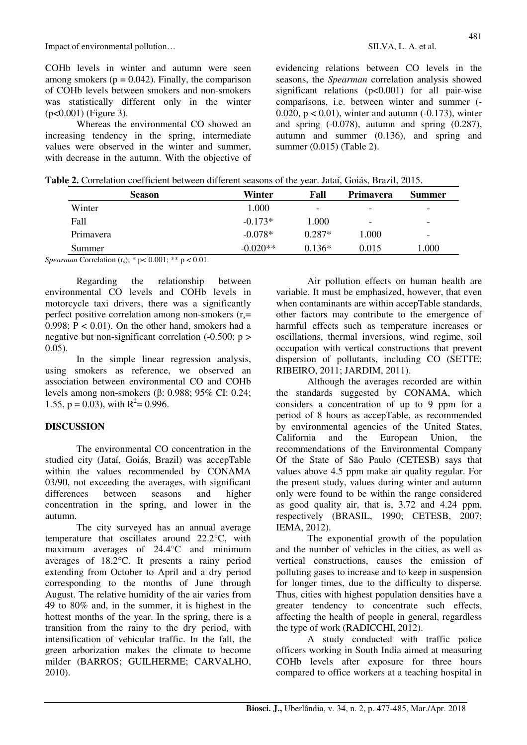COHb levels in winter and autumn were seen among smokers ( $p = 0.042$ ). Finally, the comparison of COHb levels between smokers and non-smokers was statistically different only in the winter (p<0.001) (Figure 3).

Whereas the environmental CO showed an increasing tendency in the spring, intermediate values were observed in the winter and summer, with decrease in the autumn. With the objective of

evidencing relations between CO levels in the seasons, the *Spearman* correlation analysis showed significant relations (p<0.001) for all pair-wise comparisons, i.e. between winter and summer (- 0.020,  $p < 0.01$ ), winter and autumn (-0.173), winter and spring  $(-0.078)$ , autumn and spring  $(0.287)$ , autumn and summer (0.136), and spring and summer (0.015) (Table 2).

|  |  |  |  | Table 2. Correlation coefficient between different seasons of the year. Jataí, Goiás, Brazil, 2015. |
|--|--|--|--|-----------------------------------------------------------------------------------------------------|

| Winter     | Fall                     | Primavera                | <b>Summer</b> |  |  |  |  |  |  |
|------------|--------------------------|--------------------------|---------------|--|--|--|--|--|--|
| 1.000      | $\overline{\phantom{a}}$ | $\overline{\phantom{0}}$ | -             |  |  |  |  |  |  |
| $-0.173*$  | 1.000                    | ۰                        | -             |  |  |  |  |  |  |
| $-0.078*$  | $0.287*$                 | 1.000                    | -             |  |  |  |  |  |  |
| $-0.020**$ | $0.136*$                 | 0.015                    | 0.000         |  |  |  |  |  |  |
|            |                          |                          |               |  |  |  |  |  |  |

*Spearman* Correlation  $(r_s)$ ; \* p< 0.001; \*\* p < 0.01.

Regarding the relationship between environmental CO levels and COHb levels in motorcycle taxi drivers, there was a significantly perfect positive correlation among non-smokers  $(r_s=$ 0.998;  $P < 0.01$ ). On the other hand, smokers had a negative but non-significant correlation  $(-0.500; p >$ 0.05).

In the simple linear regression analysis, using smokers as reference, we observed an association between environmental CO and COHb levels among non-smokers (β: 0.988; 95% CI: 0.24; 1.55,  $p = 0.03$ ), with  $R^2 = 0.996$ .

## **DISCUSSION**

The environmental CO concentration in the studied city (Jataí, Goiás, Brazil) was accepTable within the values recommended by CONAMA 03/90, not exceeding the averages, with significant differences between seasons and higher concentration in the spring, and lower in the autumn.

The city surveyed has an annual average temperature that oscillates around 22.2°C, with maximum averages of 24.4°C and minimum averages of 18.2°C. It presents a rainy period extending from October to April and a dry period corresponding to the months of June through August. The relative humidity of the air varies from 49 to 80% and, in the summer, it is highest in the hottest months of the year. In the spring, there is a transition from the rainy to the dry period, with intensification of vehicular traffic. In the fall, the green arborization makes the climate to become milder (BARROS; GUILHERME; CARVALHO, 2010).

 Air pollution effects on human health are variable. It must be emphasized, however, that even when contaminants are within accepTable standards, other factors may contribute to the emergence of harmful effects such as temperature increases or oscillations, thermal inversions, wind regime, soil occupation with vertical constructions that prevent dispersion of pollutants, including CO (SETTE; RIBEIRO, 2011; JARDIM, 2011).

Although the averages recorded are within the standards suggested by CONAMA, which considers a concentration of up to 9 ppm for a period of 8 hours as accepTable, as recommended by environmental agencies of the United States, California and the European Union, the recommendations of the Environmental Company Of the State of São Paulo (CETESB) says that values above 4.5 ppm make air quality regular. For the present study, values during winter and autumn only were found to be within the range considered as good quality air, that is, 3.72 and 4.24 ppm, respectively (BRASIL, 1990; CETESB, 2007; IEMA, 2012).

 The exponential growth of the population and the number of vehicles in the cities, as well as vertical constructions, causes the emission of polluting gases to increase and to keep in suspension for longer times, due to the difficulty to disperse. Thus, cities with highest population densities have a greater tendency to concentrate such effects, affecting the health of people in general, regardless the type of work (RADICCHI, 2012).

 A study conducted with traffic police officers working in South India aimed at measuring COHb levels after exposure for three hours compared to office workers at a teaching hospital in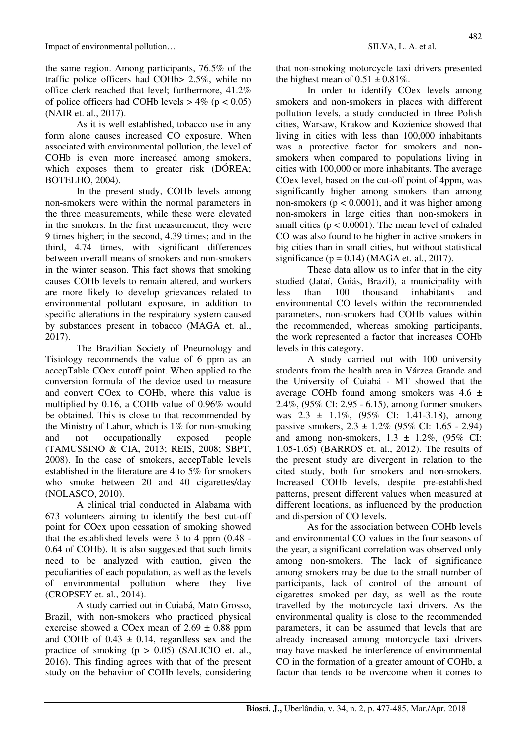As it is well established, tobacco use in any form alone causes increased CO exposure. When associated with environmental pollution, the level of COHb is even more increased among smokers, which exposes them to greater risk (DÓREA; BOTELHO, 2004).

 In the present study, COHb levels among non-smokers were within the normal parameters in the three measurements, while these were elevated in the smokers. In the first measurement, they were 9 times higher; in the second, 4.39 times; and in the third, 4.74 times, with significant differences between overall means of smokers and non-smokers in the winter season. This fact shows that smoking causes COHb levels to remain altered, and workers are more likely to develop grievances related to environmental pollutant exposure, in addition to specific alterations in the respiratory system caused by substances present in tobacco (MAGA et. al., 2017).

 The Brazilian Society of Pneumology and Tisiology recommends the value of 6 ppm as an accepTable COex cutoff point. When applied to the conversion formula of the device used to measure and convert COex to COHb, where this value is multiplied by 0.16, a COHb value of 0.96% would be obtained. This is close to that recommended by the Ministry of Labor, which is 1% for non-smoking and not occupationally exposed people (TAMUSSINO & CIA, 2013; REIS, 2008; SBPT, 2008). In the case of smokers, accepTable levels established in the literature are 4 to 5% for smokers who smoke between 20 and 40 cigarettes/day (NOLASCO, 2010).

 A clinical trial conducted in Alabama with 673 volunteers aiming to identify the best cut-off point for COex upon cessation of smoking showed that the established levels were 3 to 4 ppm (0.48 - 0.64 of COHb). It is also suggested that such limits need to be analyzed with caution, given the peculiarities of each population, as well as the levels of environmental pollution where they live (CROPSEY et. al., 2014).

 A study carried out in Cuiabá, Mato Grosso, Brazil, with non-smokers who practiced physical exercise showed a COex mean of  $2.69 \pm 0.88$  ppm and COHb of  $0.43 \pm 0.14$ , regardless sex and the practice of smoking  $(p > 0.05)$  (SALICIO et. al., 2016). This finding agrees with that of the present study on the behavior of COHb levels, considering that non-smoking motorcycle taxi drivers presented the highest mean of  $0.51 \pm 0.81\%$ .

 In order to identify COex levels among smokers and non-smokers in places with different pollution levels, a study conducted in three Polish cities, Warsaw, Krakow and Kozienice showed that living in cities with less than 100,000 inhabitants was a protective factor for smokers and nonsmokers when compared to populations living in cities with 100,000 or more inhabitants. The average COex level, based on the cut-off point of 4ppm, was significantly higher among smokers than among non-smokers ( $p < 0.0001$ ), and it was higher among non-smokers in large cities than non-smokers in small cities ( $p < 0.0001$ ). The mean level of exhaled CO was also found to be higher in active smokers in big cities than in small cities, but without statistical significance ( $p = 0.14$ ) (MAGA et. al., 2017).

 These data allow us to infer that in the city studied (Jataí, Goiás, Brazil), a municipality with less than 100 thousand inhabitants and environmental CO levels within the recommended parameters, non-smokers had COHb values within the recommended, whereas smoking participants, the work represented a factor that increases COHb levels in this category.

A study carried out with 100 university students from the health area in Várzea Grande and the University of Cuiabá - MT showed that the average COHb found among smokers was  $4.6 \pm$ 2.4%, (95% CI: 2.95 - 6.15), among former smokers was 2.3 ± 1.1%, (95% CI: 1.41-3.18), among passive smokers,  $2.3 \pm 1.2\%$  (95% CI: 1.65 - 2.94) and among non-smokers,  $1.3 \pm 1.2\%$ ,  $(95\% \text{ CI:})$ 1.05-1.65) (BARROS et. al., 2012). The results of the present study are divergent in relation to the cited study, both for smokers and non-smokers. Increased COHb levels, despite pre-established patterns, present different values when measured at different locations, as influenced by the production and dispersion of CO levels.

 As for the association between COHb levels and environmental CO values in the four seasons of the year, a significant correlation was observed only among non-smokers. The lack of significance among smokers may be due to the small number of participants, lack of control of the amount of cigarettes smoked per day, as well as the route travelled by the motorcycle taxi drivers. As the environmental quality is close to the recommended parameters, it can be assumed that levels that are already increased among motorcycle taxi drivers may have masked the interference of environmental CO in the formation of a greater amount of COHb, a factor that tends to be overcome when it comes to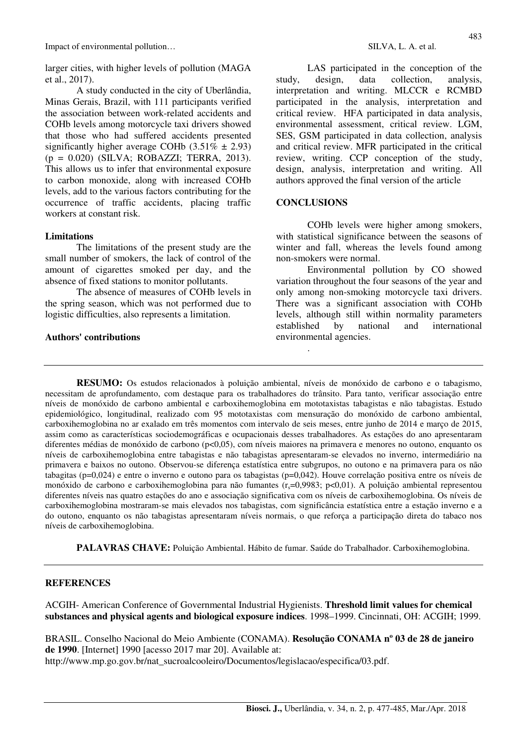larger cities, with higher levels of pollution (MAGA et al., 2017).

A study conducted in the city of Uberlândia, Minas Gerais, Brazil, with 111 participants verified the association between work-related accidents and COHb levels among motorcycle taxi drivers showed that those who had suffered accidents presented significantly higher average COHb  $(3.51\% \pm 2.93)$ (p = 0.020) (SILVA; ROBAZZI; TERRA, 2013). This allows us to infer that environmental exposure to carbon monoxide, along with increased COHb levels, add to the various factors contributing for the occurrence of traffic accidents, placing traffic workers at constant risk.

#### **Limitations**

The limitations of the present study are the small number of smokers, the lack of control of the amount of cigarettes smoked per day, and the absence of fixed stations to monitor pollutants.

The absence of measures of COHb levels in the spring season, which was not performed due to logistic difficulties, also represents a limitation.

#### **Authors' contributions**

LAS participated in the conception of the study, design, data collection, analysis, interpretation and writing. MLCCR e RCMBD participated in the analysis, interpretation and critical review. HFA participated in data analysis, environmental assessment, critical review. LGM, SES, GSM participated in data collection, analysis and critical review. MFR participated in the critical review, writing. CCP conception of the study, design, analysis, interpretation and writing. All authors approved the final version of the article

### **CONCLUSIONS**

.

COHb levels were higher among smokers, with statistical significance between the seasons of winter and fall, whereas the levels found among non-smokers were normal.

Environmental pollution by CO showed variation throughout the four seasons of the year and only among non-smoking motorcycle taxi drivers. There was a significant association with COHb levels, although still within normality parameters established by national and international environmental agencies.

**RESUMO:** Os estudos relacionados à poluição ambiental, níveis de monóxido de carbono e o tabagismo, necessitam de aprofundamento, com destaque para os trabalhadores do trânsito. Para tanto, verificar associação entre níveis de monóxido de carbono ambiental e carboxihemoglobina em mototaxistas tabagistas e não tabagistas. Estudo epidemiológico, longitudinal, realizado com 95 mototaxistas com mensuração do monóxido de carbono ambiental, carboxihemoglobina no ar exalado em três momentos com intervalo de seis meses, entre junho de 2014 e março de 2015, assim como as características sociodemográficas e ocupacionais desses trabalhadores. As estações do ano apresentaram diferentes médias de monóxido de carbono (p<0,05), com níveis maiores na primavera e menores no outono, enquanto os níveis de carboxihemoglobina entre tabagistas e não tabagistas apresentaram-se elevados no inverno, intermediário na primavera e baixos no outono. Observou-se diferença estatística entre subgrupos, no outono e na primavera para os não tabagitas (p=0,024) e entre o inverno e outono para os tabagistas (p=0,042). Houve correlação positiva entre os níveis de monóxido de carbono e carboxihemoglobina para não fumantes ( $r_s$ =0,9983; p<0,01). A poluição ambiental representou diferentes níveis nas quatro estações do ano e associação significativa com os níveis de carboxihemoglobina. Os níveis de carboxihemoglobina mostraram-se mais elevados nos tabagistas, com significância estatística entre a estação inverno e a do outono, enquanto os não tabagistas apresentaram níveis normais, o que reforça a participação direta do tabaco nos níveis de carboxihemoglobina.

**PALAVRAS CHAVE:** Poluição Ambiental. Hábito de fumar. Saúde do Trabalhador. Carboxihemoglobina.

#### **REFERENCES**

ACGIH- American Conference of Governmental Industrial Hygienists. **Threshold limit values for chemical substances and physical agents and biological exposure indices**. 1998–1999. Cincinnati, OH: ACGIH; 1999.

BRASIL. Conselho Nacional do Meio Ambiente (CONAMA). **Resolução CONAMA nº 03 de 28 de janeiro de 1990**. [Internet] 1990 [acesso 2017 mar 20]. Available at: http://www.mp.go.gov.br/nat\_sucroalcooleiro/Documentos/legislacao/especifica/03.pdf.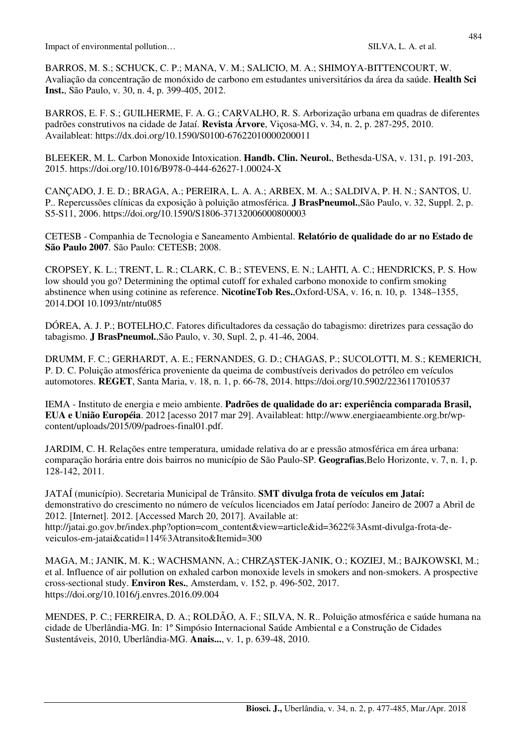BARROS, M. S.; SCHUCK, C. P.; MANA, V. M.; SALICIO, M. A.; SHIMOYA-BITTENCOURT, W. Avaliação da concentração de monóxido de carbono em estudantes universitários da área da saúde. **Health Sci Inst.**, São Paulo, v. 30, n. 4, p. 399-405, 2012.

BARROS, E. F. S.; GUILHERME, F. A. G.; CARVALHO, R. S. Arborização urbana em quadras de diferentes padrões construtivos na cidade de Jataí. **Revista Árvore**, Viçosa-MG, v. 34, n. 2, p. 287-295, 2010. Availableat: https://dx.doi.org/10.1590/S0100-67622010000200011

BLEEKER, M. L. Carbon Monoxide Intoxication. **Handb. Clin. Neurol.**, Bethesda-USA, v. 131, p. 191-203, 2015. https://doi.org/10.1016/B978-0-444-62627-1.00024-X

CANÇADO, J. E. D.; BRAGA, A.; PEREIRA, L. A. A.; ARBEX, M. A.; SALDIVA, P. H. N.; SANTOS, U. P.. Repercussões clínicas da exposição à poluição atmosférica. **J BrasPneumol.**,São Paulo, v. 32, Suppl. 2, p. S5-S11, 2006. https://doi.org/10.1590/S1806-37132006000800003

CETESB - Companhia de Tecnologia e Saneamento Ambiental. **Relatório de qualidade do ar no Estado de São Paulo 2007**. São Paulo: CETESB; 2008.

CROPSEY, K. L.; TRENT, L. R.; CLARK, C. B.; STEVENS, E. N.; LAHTI, A. C.; HENDRICKS, P. S. How low should you go? Determining the optimal cutoff for exhaled carbono monoxide to confirm smoking abstinence when using cotinine as reference. **NicotineTob Res.**,Oxford-USA, v. 16, n. 10, p. 1348–1355, 2014.DOI 10.1093/ntr/ntu085

DÓREA, A. J. P.; BOTELHO,C. Fatores dificultadores da cessação do tabagismo: diretrizes para cessação do tabagismo. **J BrasPneumol.**,São Paulo, v. 30, Supl. 2, p. 41-46, 2004.

DRUMM, F. C.; GERHARDT, A. E.; FERNANDES, G. D.; CHAGAS, P.; SUCOLOTTI, M. S.; KEMERICH, P. D. C. Poluição atmosférica proveniente da queima de combustíveis derivados do petróleo em veículos automotores. **REGET**, Santa Maria, v. 18, n. 1, p. 66-78, 2014. https://doi.org/10.5902/2236117010537

IEMA - Instituto de energia e meio ambiente. **Padrões de qualidade do ar: experiência comparada Brasil, EUA e União Européia**. 2012 [acesso 2017 mar 29]. Availableat: http://www.energiaeambiente.org.br/wpcontent/uploads/2015/09/padroes-final01.pdf.

JARDIM, C. H. Relações entre temperatura, umidade relativa do ar e pressão atmosférica em área urbana: comparação horária entre dois bairros no município de São Paulo-SP. **Geografias**,Belo Horizonte, v. 7, n. 1, p. 128-142, 2011.

JATAÍ (município). Secretaria Municipal de Trânsito. **SMT divulga frota de veículos em Jataí:** demonstrativo do crescimento no número de veículos licenciados em Jataí período: Janeiro de 2007 a Abril de 2012. [Internet]. 2012. [Accessed March 20, 2017]. Available at: http://jatai.go.gov.br/index.php?option=com\_content&view=article&id=3622%3Asmt-divulga-frota-deveiculos-em-jatai&catid=114%3Atransito&Itemid=300

MAGA, M.; JANIK, M. K.; WACHSMANN, A.; CHRZĄSTEK-JANIK, O.; KOZIEJ, M.; BAJKOWSKI, M.; et al. Influence of air pollution on exhaled carbon monoxide levels in smokers and non-smokers. A prospective cross-sectional study. **Environ Res.**, Amsterdam, v. 152, p. 496-502, 2017. https://doi.org/10.1016/j.envres.2016.09.004

MENDES, P. C.; FERREIRA, D. A.; ROLDÃO, A. F.; SILVA, N. R.. Poluição atmosférica e saúde humana na cidade de Uberlândia-MG. In: 1º Simpósio Internacional Saúde Ambiental e a Construção de Cidades Sustentáveis, 2010, Uberlândia-MG. **Anais...**, v. 1, p. 639-48, 2010.